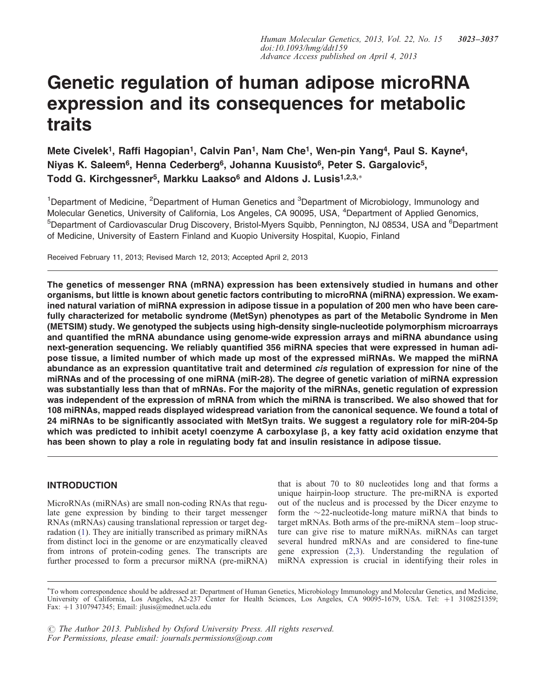# Genetic regulation of human adipose microRNA expression and its consequences for metabolic traits

Mete Civelek<sup>1</sup>, Raffi Hagopian<sup>1</sup>, Calvin Pan<sup>1</sup>, Nam Che<sup>1</sup>, Wen-pin Yang<sup>4</sup>, Paul S. Kayne<sup>4</sup>, Niyas K. Saleem<sup>6</sup>, Henna Cederberg<sup>6</sup>, Johanna Kuusisto<sup>6</sup>, Peter S. Gargalovic<sup>5</sup>, Todd G. Kirchgessner<sup>5</sup>, Markku Laakso<sup>6</sup> and Aldons J. Lusis<sup>1,2,3,</sup>\*

<sup>1</sup>Department of Medicine, <sup>2</sup>Department of Human Genetics and <sup>3</sup>Department of Microbiology, Immunology and Molecular Genetics, University of California, Los Angeles, CA 90095, USA, <sup>4</sup>Department of Applied Genomics, <sup>5</sup>Department of Cardiovascular Drug Discovery, Bristol-Myers Squibb, Pennington, NJ 08534, USA and <sup>6</sup>Department of Medicine, University of Eastern Finland and Kuopio University Hospital, Kuopio, Finland

Received February 11, 2013; Revised March 12, 2013; Accepted April 2, 2013

The genetics of messenger RNA (mRNA) expression has been extensively studied in humans and other organisms, but little is known about genetic factors contributing to microRNA (miRNA) expression. We examined natural variation of miRNA expression in adipose tissue in a population of 200 men who have been carefully characterized for metabolic syndrome (MetSyn) phenotypes as part of the Metabolic Syndrome in Men (METSIM) study. We genotyped the subjects using high-density single-nucleotide polymorphism microarrays and quantified the mRNA abundance using genome-wide expression arrays and miRNA abundance using next-generation sequencing. We reliably quantified 356 miRNA species that were expressed in human adipose tissue, a limited number of which made up most of the expressed miRNAs. We mapped the miRNA abundance as an expression quantitative trait and determined *cis* regulation of expression for nine of the miRNAs and of the processing of one miRNA (miR-28). The degree of genetic variation of miRNA expression was substantially less than that of mRNAs. For the majority of the miRNAs, genetic regulation of expression was independent of the expression of mRNA from which the miRNA is transcribed. We also showed that for 108 miRNAs, mapped reads displayed widespread variation from the canonical sequence. We found a total of 24 miRNAs to be significantly associated with MetSyn traits. We suggest a regulatory role for miR-204-5p which was predicted to inhibit acetyl coenzyme A carboxylase  $\beta$ , a key fatty acid oxidation enzyme that has been shown to play a role in regulating body fat and insulin resistance in adipose tissue.

# INTRODUCTION

MicroRNAs (miRNAs) are small non-coding RNAs that regulate gene expression by binding to their target messenger RNAs (mRNAs) causing translational repression or target degradation ([1\)](#page-12-0). They are initially transcribed as primary miRNAs from distinct loci in the genome or are enzymatically cleaved from introns of protein-coding genes. The transcripts are further processed to form a precursor miRNA (pre-miRNA)

that is about 70 to 80 nucleotides long and that forms a unique hairpin-loop structure. The pre-miRNA is exported out of the nucleus and is processed by the Dicer enzyme to form the  $\sim$ 22-nucleotide-long mature miRNA that binds to target mRNAs. Both arms of the pre-miRNA stem–loop structure can give rise to mature miRNAs. miRNAs can target several hundred mRNAs and are considered to fine-tune gene expression [\(2](#page-12-0),[3\)](#page-12-0). Understanding the regulation of miRNA expression is crucial in identifying their roles in

 $\odot$  The Author 2013. Published by Oxford University Press. All rights reserved. For Permissions, please email: journals.permissions@oup.com

<sup>∗</sup> To whom correspondence should be addressed at: Department of Human Genetics, Microbiology Immunology and Molecular Genetics, and Medicine, University of California, Los Angeles, A2-237 Center for Health Sciences, Los Angeles, CA 90095-1679, USA. Tel: +1 3108251359; Fax: +1 3107947345; Email: jlusis@mednet.ucla.edu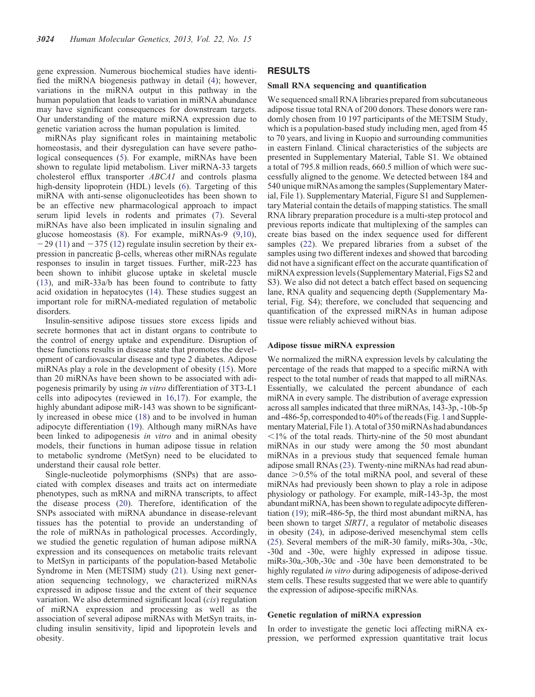gene expression. Numerous biochemical studies have identified the miRNA biogenesis pathway in detail [\(4](#page-12-0)); however, variations in the miRNA output in this pathway in the human population that leads to variation in miRNA abundance may have significant consequences for downstream targets. Our understanding of the mature miRNA expression due to genetic variation across the human population is limited.

miRNAs play significant roles in maintaining metabolic homeostasis, and their dysregulation can have severe patho-logical consequences ([5\)](#page-12-0). For example, miRNAs have been shown to regulate lipid metabolism. Liver miRNA-33 targets cholesterol efflux transporter ABCA1 and controls plasma high-density lipoprotein (HDL) levels ([6\)](#page-12-0). Targeting of this miRNA with anti-sense oligonucleotides has been shown to be an effective new pharmacological approach to impact serum lipid levels in rodents and primates [\(7](#page-12-0)). Several miRNAs have also been implicated in insulin signaling and glucose homeostasis [\(8](#page-12-0)). For example, miRNAs-9 [\(9](#page-12-0),[10\)](#page-12-0),  $-29$  ([11\)](#page-13-0) and  $-375$  [\(12](#page-13-0)) regulate insulin secretion by their expression in pancreatic  $\beta$ -cells, whereas other miRNAs regulate responses to insulin in target tissues. Further, miR-223 has been shown to inhibit glucose uptake in skeletal muscle [\(13](#page-13-0)), and miR-33a/b has been found to contribute to fatty acid oxidation in hepatocytes [\(14](#page-13-0)). These studies suggest an important role for miRNA-mediated regulation of metabolic disorders.

Insulin-sensitive adipose tissues store excess lipids and secrete hormones that act in distant organs to contribute to the control of energy uptake and expenditure. Disruption of these functions results in disease state that promotes the development of cardiovascular disease and type 2 diabetes. Adipose miRNAs play a role in the development of obesity ([15\)](#page-13-0). More than 20 miRNAs have been shown to be associated with adipogenesis primarily by using in vitro differentiation of 3T3-L1 cells into adipocytes (reviewed in [16](#page-13-0),[17\)](#page-13-0). For example, the highly abundant adipose miR-143 was shown to be significantly increased in obese mice [\(18](#page-13-0)) and to be involved in human adipocyte differentiation [\(19](#page-13-0)). Although many miRNAs have been linked to adipogenesis in vitro and in animal obesity models, their functions in human adipose tissue in relation to metabolic syndrome (MetSyn) need to be elucidated to understand their causal role better.

Single-nucleotide polymorphisms (SNPs) that are associated with complex diseases and traits act on intermediate phenotypes, such as mRNA and miRNA transcripts, to affect the disease process [\(20](#page-13-0)). Therefore, identification of the SNPs associated with miRNA abundance in disease-relevant tissues has the potential to provide an understanding of the role of miRNAs in pathological processes. Accordingly, we studied the genetic regulation of human adipose miRNA expression and its consequences on metabolic traits relevant to MetSyn in participants of the population-based Metabolic Syndrome in Men (METSIM) study ([21\)](#page-13-0). Using next generation sequencing technology, we characterized miRNAs expressed in adipose tissue and the extent of their sequence variation. We also determined significant local (cis) regulation of miRNA expression and processing as well as the association of several adipose miRNAs with MetSyn traits, including insulin sensitivity, lipid and lipoprotein levels and obesity.

# RESULTS

## Small RNA sequencing and quantification

We sequenced small RNA libraries prepared from subcutaneous adipose tissue total RNA of 200 donors. These donors were randomly chosen from 10 197 participants of the METSIM Study, which is a population-based study including men, aged from 45 to 70 years, and living in Kuopio and surrounding communities in eastern Finland. Clinical characteristics of the subjects are presented in [Supplementary Material, Table S1](http://hmg.oxfordjournals.org/lookup/suppl/doi:10.1093/hmg/ddt159/-/DC1). We obtained a total of 795.8 million reads, 660.5 million of which were successfully aligned to the genome. We detected between 184 and 540 unique miRNAs among the samples [\(Supplementary Mater](http://hmg.oxfordjournals.org/lookup/suppl/doi:10.1093/hmg/ddt159/-/DC1)[ial, File 1](http://hmg.oxfordjournals.org/lookup/suppl/doi:10.1093/hmg/ddt159/-/DC1)). [Supplementary Material, Figure S1](http://hmg.oxfordjournals.org/lookup/suppl/doi:10.1093/hmg/ddt159/-/DC1) and [Supplemen](http://hmg.oxfordjournals.org/lookup/suppl/doi:10.1093/hmg/ddt159/-/DC1)[tary Material](http://hmg.oxfordjournals.org/lookup/suppl/doi:10.1093/hmg/ddt159/-/DC1) contain the details of mapping statistics. The small RNA library preparation procedure is a multi-step protocol and previous reports indicate that multiplexing of the samples can create bias based on the index sequence used for different samples [\(22](#page-13-0)). We prepared libraries from a subset of the samples using two different indexes and showed that barcoding did not have a significant effect on the accurate quantification of miRNA expression levels [\(Supplementary Material, Figs S2 and](http://hmg.oxfordjournals.org/lookup/suppl/doi:10.1093/hmg/ddt159/-/DC1) [S3\)](http://hmg.oxfordjournals.org/lookup/suppl/doi:10.1093/hmg/ddt159/-/DC1). We also did not detect a batch effect based on sequencing lane, RNA quality and sequencing depth ([Supplementary Ma](http://hmg.oxfordjournals.org/lookup/suppl/doi:10.1093/hmg/ddt159/-/DC1)[terial, Fig. S4](http://hmg.oxfordjournals.org/lookup/suppl/doi:10.1093/hmg/ddt159/-/DC1)); therefore, we concluded that sequencing and quantification of the expressed miRNAs in human adipose tissue were reliably achieved without bias.

#### Adipose tissue miRNA expression

We normalized the miRNA expression levels by calculating the percentage of the reads that mapped to a specific miRNA with respect to the total number of reads that mapped to all miRNAs. Essentially, we calculated the percent abundance of each miRNA in every sample. The distribution of average expression across all samples indicated that three miRNAs, 143-3p, -10b-5p and -486-5p, corresponded to 40% of the reads (Fig. [1](#page-2-0) and [Supple](http://hmg.oxfordjournals.org/lookup/suppl/doi:10.1093/hmg/ddt159/-/DC1)[mentary Material, File 1\)](http://hmg.oxfordjournals.org/lookup/suppl/doi:10.1093/hmg/ddt159/-/DC1). A total of 350 miRNAs had abundances  $\leq$ 1% of the total reads. Thirty-nine of the 50 most abundant miRNAs in our study were among the 50 most abundant miRNAs in a previous study that sequenced female human adipose small RNAs [\(23\)](#page-13-0). Twenty-nine miRNAs had read abundance  $>0.5\%$  of the total miRNA pool, and several of these miRNAs had previously been shown to play a role in adipose physiology or pathology. For example, miR-143-3p, the most abundant miRNA, has been shown to regulate adipocyte differentiation [\(19](#page-13-0)); miR-486-5p, the third most abundant miRNA, has been shown to target *SIRT1*, a regulator of metabolic diseases in obesity ([24](#page-13-0)), in adipose-derived mesenchymal stem cells [\(25](#page-13-0)). Several members of the miR-30 family, miRs-30a, -30c, -30d and -30e, were highly expressed in adipose tissue. miRs-30a,-30b,-30c and -30e have been demonstrated to be highly regulated in vitro during adipogenesis of adipose-derived stem cells. These results suggested that we were able to quantify the expression of adipose-specific miRNAs.

## Genetic regulation of miRNA expression

In order to investigate the genetic loci affecting miRNA expression, we performed expression quantitative trait locus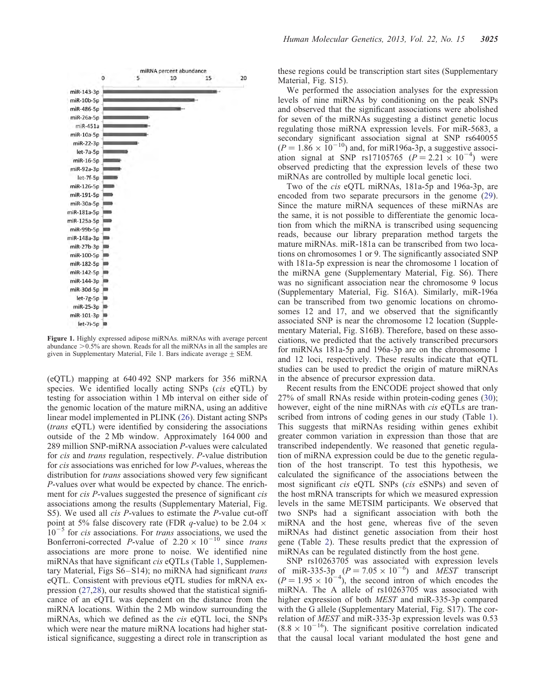<span id="page-2-0"></span>

Figure 1. Highly expressed adipose miRNAs. miRNAs with average percent abundance  $>0.5\%$  are shown. Reads for all the miRNAs in all the samples are given in [Supplementary Material, File 1](http://hmg.oxfordjournals.org/lookup/suppl/doi:10.1093/hmg/ddt159/-/DC1). Bars indicate average  $\pm$  SEM.

(eQTL) mapping at 640 492 SNP markers for 356 miRNA species. We identified locally acting SNPs (cis eQTL) by testing for association within 1 Mb interval on either side of the genomic location of the mature miRNA, using an additive linear model implemented in PLINK [\(26](#page-13-0)). Distant acting SNPs (trans eQTL) were identified by considering the associations outside of the 2 Mb window. Approximately 164 000 and 289 million SNP-miRNA association P-values were calculated for cis and trans regulation, respectively. P-value distribution for cis associations was enriched for low P-values, whereas the distribution for *trans* associations showed very few significant P-values over what would be expected by chance. The enrichment for *cis P*-values suggested the presence of significant *cis* associations among the results ([Supplementary Material, Fig.](http://hmg.oxfordjournals.org/lookup/suppl/doi:10.1093/hmg/ddt159/-/DC1) [S5\)](http://hmg.oxfordjournals.org/lookup/suppl/doi:10.1093/hmg/ddt159/-/DC1). We used all *cis P*-values to estimate the *P*-value cut-off point at 5% false discovery rate (FDR q-value) to be 2.04  $\times$  $10^{-5}$  for *cis* associations. For *trans* associations, we used the Bonferroni-corrected P-value of  $2.20 \times 10^{-10}$  since trans associations are more prone to noise. We identified nine miRNAs that have significant *cis* eQTLs (Table [1,](#page-3-0) [Supplemen](http://hmg.oxfordjournals.org/lookup/suppl/doi:10.1093/hmg/ddt159/-/DC1)[tary Material, Figs S6–S14\)](http://hmg.oxfordjournals.org/lookup/suppl/doi:10.1093/hmg/ddt159/-/DC1); no miRNA had significant trans eQTL. Consistent with previous eQTL studies for mRNA expression ([27,28](#page-13-0)), our results showed that the statistical significance of an eQTL was dependent on the distance from the miRNA locations. Within the 2 Mb window surrounding the miRNAs, which we defined as the cis eQTL loci, the SNPs which were near the mature miRNA locations had higher statistical significance, suggesting a direct role in transcription as

these regions could be transcription start sites [\(Supplementary](http://hmg.oxfordjournals.org/lookup/suppl/doi:10.1093/hmg/ddt159/-/DC1) [Material, Fig. S15\)](http://hmg.oxfordjournals.org/lookup/suppl/doi:10.1093/hmg/ddt159/-/DC1).

We performed the association analyses for the expression levels of nine miRNAs by conditioning on the peak SNPs and observed that the significant associations were abolished for seven of the miRNAs suggesting a distinct genetic locus regulating those miRNA expression levels. For miR-5683, a secondary significant association signal at SNP rs640055  $(P = 1.86 \times 10^{-10})$  and, for miR196a-3p, a suggestive association signal at SNP rs17105765  $(P = 2.21 \times 10^{-4})$  were observed predicting that the expression levels of these two miRNAs are controlled by multiple local genetic loci.

Two of the cis eQTL miRNAs, 181a-5p and 196a-3p, are encoded from two separate precursors in the genome [\(29](#page-13-0)). Since the mature miRNA sequences of these miRNAs are the same, it is not possible to differentiate the genomic location from which the miRNA is transcribed using sequencing reads, because our library preparation method targets the mature miRNAs. miR-181a can be transcribed from two locations on chromosomes 1 or 9. The significantly associated SNP with 181a-5p expression is near the chromosome 1 location of the miRNA gene [\(Supplementary Material, Fig. S6](http://hmg.oxfordjournals.org/lookup/suppl/doi:10.1093/hmg/ddt159/-/DC1)). There was no significant association near the chromosome 9 locus [\(Supplementary Material, Fig. S1](http://hmg.oxfordjournals.org/lookup/suppl/doi:10.1093/hmg/ddt159/-/DC1)6A). Similarly, miR-196a can be transcribed from two genomic locations on chromosomes 12 and 17, and we observed that the significantly associated SNP is near the chromosome 12 location ([Supple](http://hmg.oxfordjournals.org/lookup/suppl/doi:10.1093/hmg/ddt159/-/DC1)[mentary Material, Fig. S1](http://hmg.oxfordjournals.org/lookup/suppl/doi:10.1093/hmg/ddt159/-/DC1)6B). Therefore, based on these associations, we predicted that the actively transcribed precursors for miRNAs 181a-5p and 196a-3p are on the chromosome 1 and 12 loci, respectively. These results indicate that eQTL studies can be used to predict the origin of mature miRNAs in the absence of precursor expression data.

Recent results from the ENCODE project showed that only 27% of small RNAs reside within protein-coding genes ([30\)](#page-13-0); however, eight of the nine miRNAs with *cis* eQTLs are transcribed from introns of coding genes in our study (Table [1](#page-3-0)). This suggests that miRNAs residing within genes exhibit greater common variation in expression than those that are transcribed independently. We reasoned that genetic regulation of miRNA expression could be due to the genetic regulation of the host transcript. To test this hypothesis, we calculated the significance of the associations between the most significant cis eQTL SNPs (cis eSNPs) and seven of the host mRNA transcripts for which we measured expression levels in the same METSIM participants. We observed that two SNPs had a significant association with both the miRNA and the host gene, whereas five of the seven miRNAs had distinct genetic association from their host gene (Table [2\)](#page-3-0). These results predict that the expression of miRNAs can be regulated distinctly from the host gene.

SNP rs10263705 was associated with expression levels of miR-335-3p  $(P = 7.05 \times 10^{-6})$  and MEST transcript  $(P = 1.95 \times 10^{-4})$ , the second intron of which encodes the miRNA. The A allele of rs10263705 was associated with higher expression of both MEST and miR-335-3p compared with the G allele ([Supplementary Material, Fig. S17](http://hmg.oxfordjournals.org/lookup/suppl/doi:10.1093/hmg/ddt159/-/DC1)). The correlation of MEST and miR-335-3p expression levels was 0.53  $(8.8 \times 10^{-16})$ . The significant positive correlation indicated that the causal local variant modulated the host gene and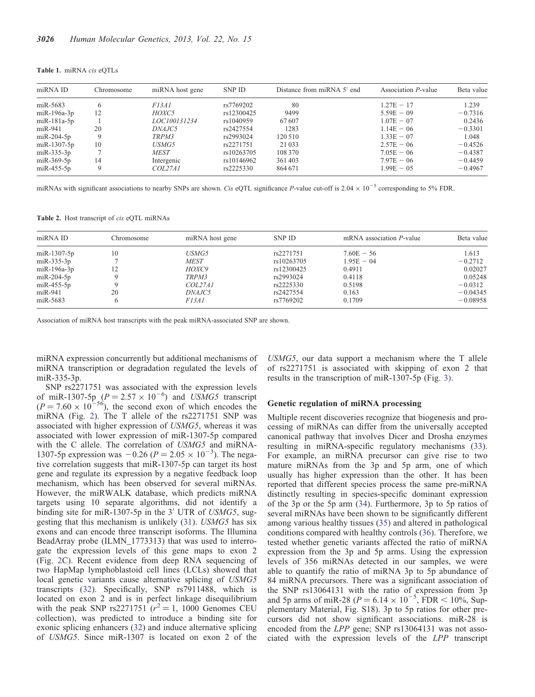| miRNA ID    | Chromosome | miRNA host gene | SNP ID     | Distance from miRNA 5' end | Association P-value | Beta value |
|-------------|------------|-----------------|------------|----------------------------|---------------------|------------|
| miR-5683    | 6          | F13A1           | rs7769202  | 80                         | $1.27E - 17$        | 1.239      |
| miR-196a-3p | 12         | HOXC5           | rs12300425 | 9499                       | $5.59E - 09$        | $-0.7316$  |
| miR-181a-5p |            | LOC100131234    | rs1040959  | 67607                      | $1.07E - 07$        | 0.2436     |
| miR-941     | 20         | DNAJC5          | rs2427554  | 1283                       | $1.14E - 06$        | $-0.3301$  |
| miR-204-5p  | 9          | TRPM3           | rs2993024  | 120 510                    | $1.33E - 07$        | 1.048      |
| miR-1307-5p | 10         | <i>USMG5</i>    | rs2271751  | 21 0 33                    | $2.57E - 06$        | $-0.4526$  |
| miR-335-3p  |            | <b>MEST</b>     | rs10263705 | 108 370                    | $7.05E - 06$        | $-0.4387$  |
| miR-369-5p  | 14         | Intergenic      | rs10146962 | 361403                     | $7.97E - 06$        | $-0.4459$  |
| miR-455-5p  | 9          | COL27A1         | rs2225330  | 864 671                    | $1.99E - 0.5$       | $-0.4967$  |
|             |            |                 |            |                            |                     |            |

<span id="page-3-0"></span>Table 1. miRNA cis eQTLs

miRNAs with significant associations to nearby SNPs are shown. Cis eQTL significance P-value cut-off is  $2.04 \times 10^{-5}$  corresponding to 5% FDR.

Table 2. Host transcript of *cis* eQTL miRNAs

| miRNA ID          | Chromosome | miRNA host gene | <b>SNP ID</b> | mRNA association $P$ -value | Beta value |
|-------------------|------------|-----------------|---------------|-----------------------------|------------|
| $miR-1307-5p$     | 10         | <i>USMG5</i>    | rs2271751     | $7.60E - 56$                | 1.613      |
| $m$ i R $-335-3p$ |            | <b>MEST</b>     | rs10263705    | $1.95E - 04$                | $-0.2712$  |
| $miR-196a-3p$     |            | HOXC9           | rs12300425    | 0.4911                      | 0.02027    |
| $miR-204-5p$      |            | TRPM3           | rs2993024     | 0.4118                      | 0.05248    |
| $m$ i R $-455-5p$ |            | COL27A1         | rs2225330     | 0.5198                      | $-0.0312$  |
| $miR-941$         | 20         | <i>DNAJC5</i>   | rs2427554     | 0.163                       | $-0.04345$ |
| miR-5683          |            | <i>F13A1</i>    | rs7769202     | 0.1709                      | $-0.08958$ |

Association of miRNA host transcripts with the peak miRNA-associated SNP are shown.

miRNA expression concurrently but additional mechanisms of miRNA transcription or degradation regulated the levels of miR-335-3p.

SNP rs2271751 was associated with the expression levels of miR-1307-5p  $(P = 2.57 \times 10^{-6})$  and USMG5 transcript  $(P = 7.60 \times 10^{-56})$ , the second exon of which encodes the miRNA (Fig. [2\)](#page-4-0). The T allele of the rs2271751 SNP was associated with higher expression of USMG5, whereas it was associated with lower expression of miR-1307-5p compared with the C allele. The correlation of USMG5 and miRNA-1307-5p expression was  $-0.26$  ( $P = 2.05 \times 10^{-3}$ ). The negative correlation suggests that miR-1307-5p can target its host gene and regulate its expression by a negative feedback loop mechanism, which has been observed for several miRNAs. However, the miRWALK database, which predicts miRNA targets using 10 separate algorithms, did not identify a binding site for miR-1307-5p in the 3' UTR of USMG5, suggesting that this mechanism is unlikely [\(31](#page-13-0)). USMG5 has six exons and can encode three transcript isoforms. The Illumina BeadArray probe (ILMN\_1773313) that was used to interrogate the expression levels of this gene maps to exon 2 (Fig. [2](#page-4-0)C). Recent evidence from deep RNA sequencing of two HapMap lymphoblastoid cell lines (LCLs) showed that local genetic variants cause alternative splicing of USMG5 transcripts ([32\)](#page-13-0). Specifically, SNP rs7911488, which is located on exon 2 and is in perfect linkage disequilibrium with the peak SNP rs2271751  $(r^2 = 1, 1000)$  Genomes CEU collection), was predicted to introduce a binding site for exonic splicing enhancers [\(32](#page-13-0)) and induce alternative splicing of USMG5. Since miR-1307 is located on exon 2 of the

USMG5, our data support a mechanism where the T allele of rs2271751 is associated with skipping of exon 2 that results in the transcription of miR-1307-5p (Fig. [3\)](#page-5-0).

#### Genetic regulation of miRNA processing

Multiple recent discoveries recognize that biogenesis and processing of miRNAs can differ from the universally accepted canonical pathway that involves Dicer and Drosha enzymes resulting in miRNA-specific regulatory mechanisms [\(33](#page-13-0)). For example, an miRNA precursor can give rise to two mature miRNAs from the 3p and 5p arm, one of which usually has higher expression than the other. It has been reported that different species process the same pre-miRNA distinctly resulting in species-specific dominant expression of the 3p or the 5p arm [\(34](#page-13-0)). Furthermore, 3p to 5p ratios of several miRNAs have been shown to be significantly different among various healthy tissues ([35\)](#page-13-0) and altered in pathological conditions compared with healthy controls [\(36](#page-13-0)). Therefore, we tested whether genetic variants affected the ratio of miRNA expression from the 3p and 5p arms. Using the expression levels of 356 miRNAs detected in our samples, we were able to quantify the ratio of miRNA 3p to 5p abundance of 84 miRNA precursors. There was a significant association of the SNP rs13064131 with the ratio of expression from 3p and 5p arms of miR-28 ( $P = 6.14 \times 10^{-5}$ , FDR < 10%, [Sup](http://hmg.oxfordjournals.org/lookup/suppl/doi:10.1093/hmg/ddt159/-/DC1)[plementary Material, Fig. S18\)](http://hmg.oxfordjournals.org/lookup/suppl/doi:10.1093/hmg/ddt159/-/DC1). 3p to 5p ratios for other precursors did not show significant associations. miR-28 is encoded from the LPP gene; SNP rs13064131 was not associated with the expression levels of the LPP transcript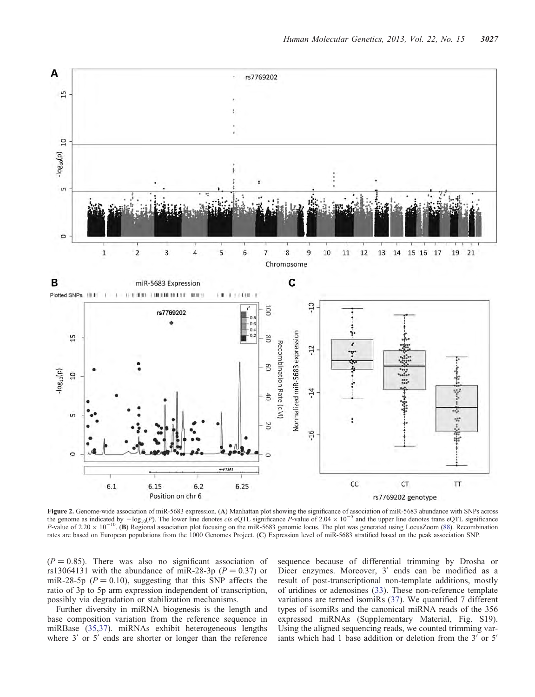<span id="page-4-0"></span>

Figure 2. Genome-wide association of miR-5683 expression. (A) Manhattan plot showing the significance of association of miR-5683 abundance with SNPs across the genome as indicated by  $-\log_{10}(P)$ . The lower line denotes cis eQTL significance P-value of 2.04  $\times$  10<sup>-5</sup> and the upper line denotes trans eQTL significance P-value of 2.20  $\times$  10<sup>-10</sup>. (B) Regional association plot focusing on the miR-5683 genomic locus. The plot was generated using LocusZoom [\(88](#page-14-0)). Recombination rates are based on European populations from the 1000 Genomes Project. (C) Expression level of miR-5683 stratified based on the peak association SNP.

 $(P = 0.85)$ . There was also no significant association of rs13064131 with the abundance of miR-28-3p ( $P = 0.37$ ) or miR-28-5p ( $P = 0.10$ ), suggesting that this SNP affects the ratio of 3p to 5p arm expression independent of transcription, possibly via degradation or stabilization mechanisms.

Further diversity in miRNA biogenesis is the length and base composition variation from the reference sequence in miRBase ([35,37](#page-13-0)). miRNAs exhibit heterogeneous lengths where 3′ or 5′ ends are shorter or longer than the reference

sequence because of differential trimming by Drosha or Dicer enzymes. Moreover, 3′ ends can be modified as a result of post-transcriptional non-template additions, mostly of uridines or adenosines ([33\)](#page-13-0). These non-reference template variations are termed isomiRs [\(37](#page-13-0)). We quantified 7 different types of isomiRs and the canonical miRNA reads of the 356 expressed miRNAs ([Supplementary Material, Fig. S19](http://hmg.oxfordjournals.org/lookup/suppl/doi:10.1093/hmg/ddt159/-/DC1)). Using the aligned sequencing reads, we counted trimming variants which had 1 base addition or deletion from the 3′ or 5′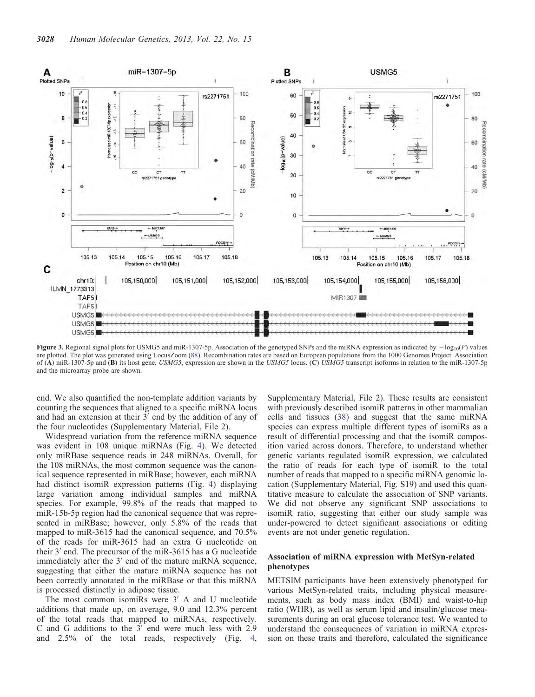<span id="page-5-0"></span>

Figure 3. Regional signal plots for USMG5 and miR-1307-5p. Association of the genotyped SNPs and the miRNA expression as indicated by  $-\log_{10}(P)$  values are plotted. The plot was generated using LocusZoom [\(88](#page-14-0)). Recombination rates are based on European populations from the 1000 Genomes Project. Association of (A) miR-1307-5p and (B) its host gene, USMG5, expression are shown in the USMG5 locus. (C) USMG5 transcript isoforms in relation to the miR-1307-5p and the microarray probe are shown.

end. We also quantified the non-template addition variants by counting the sequences that aligned to a specific miRNA locus and had an extension at their 3′ end by the addition of any of the four nucleotides [\(Supplementary Material, File 2](http://hmg.oxfordjournals.org/lookup/suppl/doi:10.1093/hmg/ddt159/-/DC1)).

Widespread variation from the reference miRNA sequence was evident in 108 unique miRNAs (Fig. [4\)](#page-6-0). We detected only miRBase sequence reads in 248 miRNAs. Overall, for the 108 miRNAs, the most common sequence was the canonical sequence represented in miRBase; however, each miRNA had distinct isomiR expression patterns (Fig. [4\)](#page-6-0) displaying large variation among individual samples and miRNA species. For example, 99.8% of the reads that mapped to miR-15b-5p region had the canonical sequence that was represented in miRBase; however, only 5.8% of the reads that mapped to miR-3615 had the canonical sequence, and 70.5% of the reads for miR-3615 had an extra G nucleotide on their 3′ end. The precursor of the miR-3615 has a G nucleotide immediately after the 3′ end of the mature miRNA sequence, suggesting that either the mature miRNA sequence has not been correctly annotated in the miRBase or that this miRNA is processed distinctly in adipose tissue.

The most common isomiRs were 3<sup>'</sup> A and U nucleotide additions that made up, on average, 9.0 and 12.3% percent of the total reads that mapped to miRNAs, respectively. C and G additions to the 3′ end were much less with 2.9 and 2.5% of the total reads, respectively (Fig. [4,](#page-6-0)

[Supplementary Material, File 2\)](http://hmg.oxfordjournals.org/lookup/suppl/doi:10.1093/hmg/ddt159/-/DC1). These results are consistent with previously described isomiR patterns in other mammalian cells and tissues [\(38](#page-13-0)) and suggest that the same miRNA species can express multiple different types of isomiRs as a result of differential processing and that the isomiR composition varied across donors. Therefore, to understand whether genetic variants regulated isomiR expression, we calculated the ratio of reads for each type of isomiR to the total number of reads that mapped to a specific miRNA genomic location ([Supplementary Material, Fig. S19\)](http://hmg.oxfordjournals.org/lookup/suppl/doi:10.1093/hmg/ddt159/-/DC1) and used this quantitative measure to calculate the association of SNP variants. We did not observe any significant SNP associations to isomiR ratio, suggesting that either our study sample was under-powered to detect significant associations or editing events are not under genetic regulation.

## Association of miRNA expression with MetSyn-related phenotypes

METSIM participants have been extensively phenotyped for various MetSyn-related traits, including physical measurements, such as body mass index (BMI) and waist-to-hip ratio (WHR), as well as serum lipid and insulin/glucose measurements during an oral glucose tolerance test. We wanted to understand the consequences of variation in miRNA expression on these traits and therefore, calculated the significance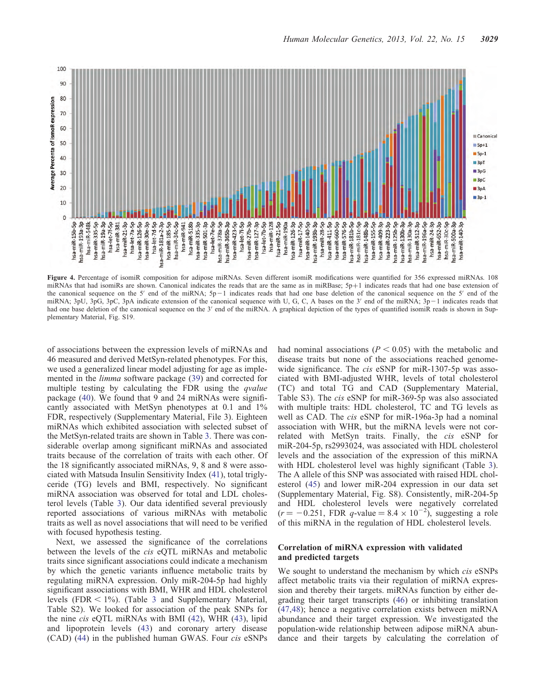<span id="page-6-0"></span>

Figure 4. Percentage of isomiR composition for adipose miRNAs. Seven different isomiR modifications were quantified for 356 expressed miRNAs. 108 miRNAs that had isomiRs are shown. Canonical indicates the reads that are the same as in miRBase; 5p+1 indicates reads that had one base extension of the canonical sequence on the 5' end of the miRNA;  $5p-1$  indicates reads that had one base deletion of the canonical sequence on the 5' end of the miRNA; 3pU, 3pG, 3pC, 3pA indicate extension of the canonical sequence with U, G, C, A bases on the 3' end of the miRNA;  $3p-1$  indicates reads that had one base deletion of the canonical sequence on the 3' end of the miRNA. A graphical depiction of the types of quantified isomiR reads is shown in [Sup](http://hmg.oxfordjournals.org/lookup/suppl/doi:10.1093/hmg/ddt159/-/DC1)[plementary Material, Fig. S19](http://hmg.oxfordjournals.org/lookup/suppl/doi:10.1093/hmg/ddt159/-/DC1).

of associations between the expression levels of miRNAs and 46 measured and derived MetSyn-related phenotypes. For this, we used a generalized linear model adjusting for age as implemented in the limma software package [\(39](#page-13-0)) and corrected for multiple testing by calculating the FDR using the *qvalue* package ([40\)](#page-13-0). We found that 9 and 24 miRNAs were significantly associated with MetSyn phenotypes at 0.1 and 1% FDR, respectively [\(Supplementary Material, File 3](http://hmg.oxfordjournals.org/lookup/suppl/doi:10.1093/hmg/ddt159/-/DC1)). Eighteen miRNAs which exhibited association with selected subset of the MetSyn-related traits are shown in Table [3.](#page-7-0) There was considerable overlap among significant miRNAs and associated traits because of the correlation of traits with each other. Of the 18 significantly associated miRNAs, 9, 8 and 8 were associated with Matsuda Insulin Sensitivity Index [\(41](#page-13-0)), total triglyceride (TG) levels and BMI, respectively. No significant miRNA association was observed for total and LDL cholesterol levels (Table [3](#page-7-0)). Our data identified several previously reported associations of various miRNAs with metabolic traits as well as novel associations that will need to be verified with focused hypothesis testing.

Next, we assessed the significance of the correlations between the levels of the cis eQTL miRNAs and metabolic traits since significant associations could indicate a mechanism by which the genetic variants influence metabolic traits by regulating miRNA expression. Only miR-204-5p had highly significant associations with BMI, WHR and HDL cholesterol levels (FDR  $\leq$  1%). (Table [3](#page-7-0) and [Supplementary Material,](http://hmg.oxfordjournals.org/lookup/suppl/doi:10.1093/hmg/ddt159/-/DC1) [Table S2\)](http://hmg.oxfordjournals.org/lookup/suppl/doi:10.1093/hmg/ddt159/-/DC1). We looked for association of the peak SNPs for the nine cis eQTL miRNAs with BMI ([42\)](#page-13-0), WHR [\(43](#page-13-0)), lipid and lipoprotein levels [\(43](#page-13-0)) and coronary artery disease (CAD) ([44\)](#page-13-0) in the published human GWAS. Four cis eSNPs had nominal associations ( $P < 0.05$ ) with the metabolic and disease traits but none of the associations reached genomewide significance. The *cis* eSNP for miR-1307-5p was associated with BMI-adjusted WHR, levels of total cholesterol (TC) and total TG and CAD [\(Supplementary Material,](http://hmg.oxfordjournals.org/lookup/suppl/doi:10.1093/hmg/ddt159/-/DC1) [Table S3\)](http://hmg.oxfordjournals.org/lookup/suppl/doi:10.1093/hmg/ddt159/-/DC1). The cis eSNP for miR-369-5p was also associated with multiple traits: HDL cholesterol, TC and TG levels as well as CAD. The *cis* eSNP for miR-196a-3p had a nominal association with WHR, but the miRNA levels were not correlated with MetSyn traits. Finally, the cis eSNP for miR-204-5p, rs2993024, was associated with HDL cholesterol levels and the association of the expression of this miRNA with HDL cholesterol level was highly significant (Table [3](#page-7-0)). The A allele of this SNP was associated with raised HDL cholesterol ([45](#page-13-0)) and lower miR-204 expression in our data set [\(Supplementary Material, Fig. S8\)](http://hmg.oxfordjournals.org/lookup/suppl/doi:10.1093/hmg/ddt159/-/DC1). Consistently, miR-204-5p and HDL cholesterol levels were negatively correlated  $(r = -0.251, FDR q-value = 8.4 \times 10^{-2})$ , suggesting a role of this miRNA in the regulation of HDL cholesterol levels.

## Correlation of miRNA expression with validated and predicted targets

We sought to understand the mechanism by which *cis* eSNPs affect metabolic traits via their regulation of miRNA expression and thereby their targets. miRNAs function by either degrading their target transcripts [\(46](#page-13-0)) or inhibiting translation [\(47](#page-13-0),[48\)](#page-13-0); hence a negative correlation exists between miRNA abundance and their target expression. We investigated the population-wide relationship between adipose miRNA abundance and their targets by calculating the correlation of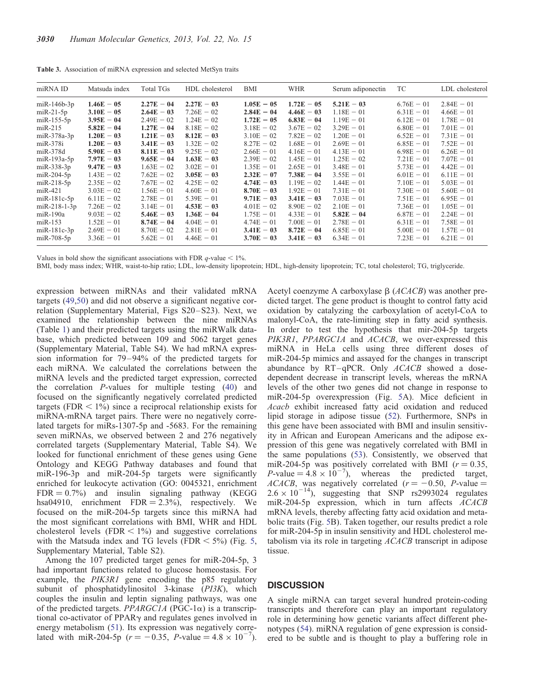<span id="page-7-0"></span>Table 3. Association of miRNA expression and selected MetSyn traits

| miRNA ID                                                                                                                                                                               | Matsuda index                                                                                                                                                                | Total TGs                                                                                                                                                    | HDL cholesterol                                                                                                                                              | BMI                                                                                                                                                          | <b>WHR</b>                                                                                                                                                   | Serum adiponectin                                                                                                                                            | TC                                                                                                                                                           | LDL cholesterol                                                                                                                                              |
|----------------------------------------------------------------------------------------------------------------------------------------------------------------------------------------|------------------------------------------------------------------------------------------------------------------------------------------------------------------------------|--------------------------------------------------------------------------------------------------------------------------------------------------------------|--------------------------------------------------------------------------------------------------------------------------------------------------------------|--------------------------------------------------------------------------------------------------------------------------------------------------------------|--------------------------------------------------------------------------------------------------------------------------------------------------------------|--------------------------------------------------------------------------------------------------------------------------------------------------------------|--------------------------------------------------------------------------------------------------------------------------------------------------------------|--------------------------------------------------------------------------------------------------------------------------------------------------------------|
| $m$ iR-146b-3p<br>$miR-21-5p$<br>$m$ i R $-155-5p$<br>$m$ i R $-215$<br>$miR-378a-3p$<br>miR-378i<br>$miR-378d$                                                                        | $1.46E - 05$<br>$3.10E - 05$<br>$3.95E - 04$<br>$5.82E - 04$<br>$1.20E - 03$<br>$1.20E - 03$<br>$5.90E - 03$                                                                 | $2.27E - 04$<br>$2.64E - 03$<br>$2.49E - 02$<br>$1.27E - 04$<br>$1.21E - 03$<br>$3.41E - 03$<br>$8.11E - 03$<br>$9.65E - 04$                                 | $2.27E - 03$<br>$7.26E - 02$<br>$1.24E - 02$<br>$8.18E - 02$<br>$8.12E - 03$<br>$1.32E - 02$<br>$9.25E - 02$<br>$1.63E - 03$                                 | $1.05E - 05$<br>$2.84E - 04$<br>$1.72E - 05$<br>$3.18E - 02$<br>$3.10E - 02$<br>$8.27E - 02$<br>$2.66E - 01$<br>$2.39E - 02$                                 | $1.72E - 05$<br>$4.46E - 03$<br>$6.83E - 04$<br>$3.67E - 02$<br>$7.82E - 02$<br>$1.68E - 01$<br>$4.16E - 01$<br>$1.45E - 01$                                 | $5.21E - 03$<br>$1.18E - 01$<br>$1.19E - 01$<br>$3.29E - 01$<br>$1.20E - 01$<br>$2.69E - 01$<br>$4.13E - 01$<br>$1.25E - 02$                                 | $6.76E - 01$<br>$6.31E - 01$<br>$6.12E - 01$<br>$6.80E - 01$<br>$6.52E - 01$<br>$6.85E - 01$<br>$6.98E - 01$<br>$7.21E - 01$                                 | $2.84E - 01$<br>$4.66E - 01$<br>$1.78E - 01$<br>$7.01E - 01$<br>$7.31E - 01$<br>$7.52E - 01$<br>$6.26E - 01$<br>$7.07E - 01$                                 |
| $m$ i $R-193a-5p$<br>$miR-338-3p$<br>$miR-204-5p$<br>$miR-218-5p$<br>$miR-421$<br>$m$ iR-181 $c$ -5 $p$<br>$m$ iR-218-1-3p<br>$miR-190a$<br>$miR-153$<br>$miR-181c-3p$<br>$miR-708-5p$ | $7.97E - 03$<br>$9.47E - 03$<br>$1.43E - 02$<br>$2.35E - 02$<br>$3.03E - 02$<br>$6.11E - 02$<br>$7.26E - 02$<br>$9.03E - 02$<br>$1.52E - 01$<br>$2.69E - 01$<br>$3.36E - 01$ | $1.63E - 02$<br>$7.62E - 02$<br>$7.67E - 02$<br>$1.56E - 01$<br>$2.78E - 01$<br>$3.14E - 01$<br>$5.46E - 03$<br>$8.74E - 04$<br>$8.70E - 02$<br>$5.62E - 01$ | $3.02E - 01$<br>$3.05E - 03$<br>$4.25E - 02$<br>$4.60E - 01$<br>$5.39E - 01$<br>$4.53E - 03$<br>$1.36E - 04$<br>$4.04E - 01$<br>$2.81E - 01$<br>$4.46E - 01$ | $1.35E - 01$<br>$2.32E - 07$<br>$4.74E - 03$<br>$8.70E - 03$<br>$9.71E - 03$<br>$4.01E - 02$<br>$1.75E - 01$<br>$4.74E - 01$<br>$3.41E - 03$<br>$3.70E - 03$ | $2.65E - 01$<br>$7.38E - 04$<br>$1.19E - 02$<br>$1.92E - 01$<br>$3.41E - 03$<br>$8.90E - 02$<br>$4.33E - 01$<br>$7.00E - 01$<br>$8.72E - 04$<br>$3.41E - 03$ | $3.48E - 01$<br>$3.55E - 01$<br>$1.44E - 01$<br>$7.31E - 01$<br>$7.03E - 01$<br>$2.10E - 01$<br>$5.82E - 04$<br>$2.78E - 01$<br>$6.85E - 01$<br>$6.34E - 01$ | $5.73E - 01$<br>$6.01E - 01$<br>$7.10E - 01$<br>$7.30E - 01$<br>$7.51E - 01$<br>$7.36E - 01$<br>$6.87E - 01$<br>$6.31E - 01$<br>$5.00E - 01$<br>$7.23E - 01$ | $4.42E - 01$<br>$6.11E - 01$<br>$5.03E - 01$<br>$5.60E - 01$<br>$6.95E - 01$<br>$1.05E - 01$<br>$2.24E - 01$<br>$7.58E - 01$<br>$1.57E - 01$<br>$6.21E - 01$ |

Values in bold show the significant associations with FDR  $q$ -value < 1%.

BMI, body mass index; WHR, waist-to-hip ratio; LDL, low-density lipoprotein; HDL, high-density lipoprotein; TC, total cholesterol; TG, triglyceride.

expression between miRNAs and their validated mRNA targets [\(49](#page-13-0),[50\)](#page-13-0) and did not observe a significant negative correlation [\(Supplementary Material, Figs S20–S23\)](http://hmg.oxfordjournals.org/lookup/suppl/doi:10.1093/hmg/ddt159/-/DC1). Next, we examined the relationship between the nine miRNAs (Table [1](#page-3-0)) and their predicted targets using the miRWalk database, which predicted between 109 and 5062 target genes [\(Supplementary Material, Table S4\)](http://hmg.oxfordjournals.org/lookup/suppl/doi:10.1093/hmg/ddt159/-/DC1). We had mRNA expression information for 79–94% of the predicted targets for each miRNA. We calculated the correlations between the miRNA levels and the predicted target expression, corrected the correlation P-values for multiple testing ([40\)](#page-13-0) and focused on the significantly negatively correlated predicted targets (FDR  $< 1\%$ ) since a reciprocal relationship exists for miRNA-mRNA target pairs. There were no negatively correlated targets for miRs-1307-5p and -5683. For the remaining seven miRNAs, we observed between 2 and 276 negatively correlated targets ([Supplementary Material, Table S4](http://hmg.oxfordjournals.org/lookup/suppl/doi:10.1093/hmg/ddt159/-/DC1)). We looked for functional enrichment of these genes using Gene Ontology and KEGG Pathway databases and found that miR-196-3p and miR-204-5p targets were significantly enriched for leukocyte activation (GO: 0045321, enrichment  $FDR = 0.7\%$ ) and insulin signaling pathway (KEGG hsa04910, enrichment  $FDR = 2.3\%$ ), respectively. We focused on the miR-204-5p targets since this miRNA had the most significant correlations with BMI, WHR and HDL cholesterol levels (FDR  $< 1\%$ ) and suggestive correlations with the Matsuda index and TG levels (FDR  $\lt$  5%) (Fig. [5,](#page-8-0) [Supplementary Material, Table S2\)](http://hmg.oxfordjournals.org/lookup/suppl/doi:10.1093/hmg/ddt159/-/DC1).

Among the 107 predicted target genes for miR-204-5p, 3 had important functions related to glucose homeostasis. For example, the PIK3R1 gene encoding the p85 regulatory subunit of phosphatidylinositol 3-kinase (PI3K), which couples the insulin and leptin signaling pathways, was one of the predicted targets. *PPARGC1A* (PGC-1 $\alpha$ ) is a transcriptional co-activator of PPAR $\gamma$  and regulates genes involved in energy metabolism ([51\)](#page-13-0). Its expression was negatively correlated with miR-204-5p  $(r = -0.35, P\text{-value} = 4.8 \times 10^{-7})$ .

Acetyl coenzyme A carboxylase  $\beta$  (ACACB) was another predicted target. The gene product is thought to control fatty acid oxidation by catalyzing the carboxylation of acetyl-CoA to malonyl-CoA, the rate-limiting step in fatty acid synthesis. In order to test the hypothesis that mir-204-5p targets PIK3R1, PPARGC1A and ACACB, we over-expressed this miRNA in HeLa cells using three different doses of miR-204-5p mimics and assayed for the changes in transcript abundance by RT-qPCR. Only ACACB showed a dosedependent decrease in transcript levels, whereas the mRNA levels of the other two genes did not change in response to miR-204-5p overexpression (Fig. [5A](#page-8-0)). Mice deficient in Acacb exhibit increased fatty acid oxidation and reduced lipid storage in adipose tissue [\(52\)](#page-14-0). Furthermore, SNPs in this gene have been associated with BMI and insulin sensitivity in African and European Americans and the adipose expression of this gene was negatively correlated with BMI in the same populations [\(53](#page-14-0)). Consistently, we observed that miR-204-5p was positively correlated with BMI ( $r = 0.35$ ,  $P$ -value = 4.8 × 10<sup>-7</sup>), whereas the predicted target, ACACB, was negatively correlated  $(r = -0.50, P-value =$  $2.6 \times 10^{-14}$ ), suggesting that SNP rs2993024 regulates miR-204-5p expression, which in turn affects ACACB mRNA levels, thereby affecting fatty acid oxidation and metabolic traits (Fig. [5](#page-8-0)B). Taken together, our results predict a role for miR-204-5p in insulin sensitivity and HDL cholesterol metabolism via its role in targeting ACACB transcript in adipose tissue.

## **DISCUSSION**

A single miRNA can target several hundred protein-coding transcripts and therefore can play an important regulatory role in determining how genetic variants affect different phenotypes [\(54](#page-14-0)). miRNA regulation of gene expression is considered to be subtle and is thought to play a buffering role in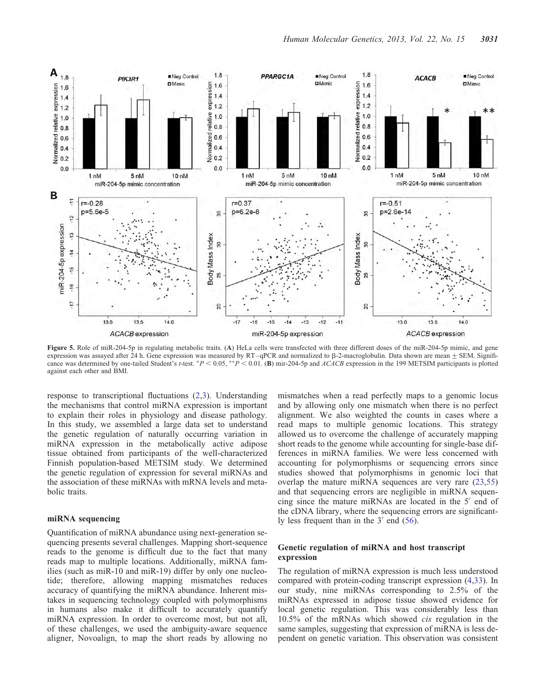<span id="page-8-0"></span>

Figure 5. Role of miR-204-5p in regulating metabolic traits. (A) HeLa cells were transfected with three different doses of the miR-204-5p mimic, and gene expression was assayed after 24 h. Gene expression was measured by  $RT-qPCR$  and normalized to  $\beta$ -2-macroglobulin. Data shown are mean  $\pm$  SEM. Significance was determined by one-tailed Student's t-test. \*P < 0.05, \*\*P < 0.01. (B) mir-204-5p and ACACB expression in the 199 METSIM participants is plotted against each other and BMI.

 $-13$  $-12$  $-11$ 

 $-14$ 

miR-204-5p expression

25

 $\overline{20}$ 

 $-17$  $-16$  $-15$ 

response to transcriptional fluctuations ([2,3](#page-12-0)). Understanding the mechanisms that control miRNA expression is important to explain their roles in physiology and disease pathology. In this study, we assembled a large data set to understand the genetic regulation of naturally occurring variation in miRNA expression in the metabolically active adipose tissue obtained from participants of the well-characterized Finnish population-based METSIM study. We determined the genetic regulation of expression for several miRNAs and the association of these miRNAs with mRNA levels and metabolic traits.

# miRNA sequencing

 $-15$ 

 $-16$ -TT

13.0

13.5

ACACB expression

14.0

Quantification of miRNA abundance using next-generation sequencing presents several challenges. Mapping short-sequence reads to the genome is difficult due to the fact that many reads map to multiple locations. Additionally, miRNA families (such as miR-10 and miR-19) differ by only one nucleotide; therefore, allowing mapping mismatches reduces accuracy of quantifying the miRNA abundance. Inherent mistakes in sequencing technology coupled with polymorphisms in humans also make it difficult to accurately quantify miRNA expression. In order to overcome most, but not all, of these challenges, we used the ambiguity-aware sequence aligner, Novoalign, to map the short reads by allowing no

mismatches when a read perfectly maps to a genomic locus and by allowing only one mismatch when there is no perfect alignment. We also weighted the counts in cases where a read maps to multiple genomic locations. This strategy allowed us to overcome the challenge of accurately mapping short reads to the genome while accounting for single-base differences in miRNA families. We were less concerned with accounting for polymorphisms or sequencing errors since studies showed that polymorphisms in genomic loci that overlap the mature miRNA sequences are very rare [\(23](#page-13-0),[55\)](#page-14-0) and that sequencing errors are negligible in miRNA sequencing since the mature miRNAs are located in the 5′ end of the cDNA library, where the sequencing errors are significantly less frequent than in the 3′ end ([56\)](#page-14-0).

25

20

13.0

13.5

ACACB expression

14.0

## Genetic regulation of miRNA and host transcript expression

The regulation of miRNA expression is much less understood compared with protein-coding transcript expression [\(4](#page-12-0),[33\)](#page-13-0). In our study, nine miRNAs corresponding to 2.5% of the miRNAs expressed in adipose tissue showed evidence for local genetic regulation. This was considerably less than 10.5% of the mRNAs which showed cis regulation in the same samples, suggesting that expression of miRNA is less dependent on genetic variation. This observation was consistent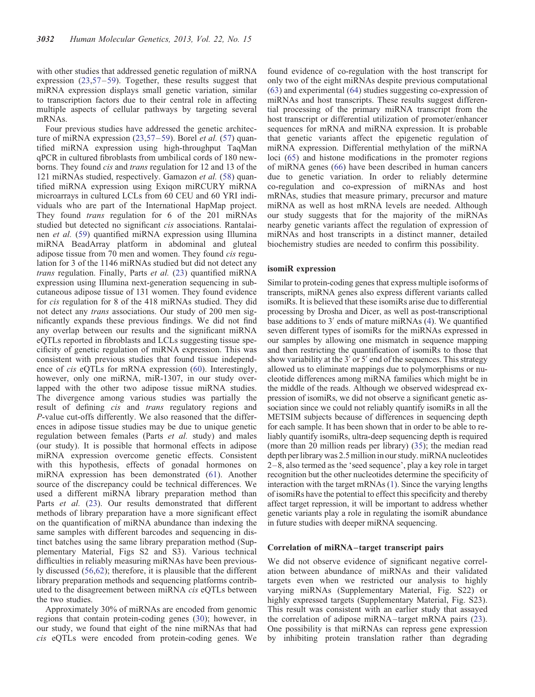with other studies that addressed genetic regulation of miRNA expression [\(23](#page-13-0),[57](#page-14-0)–[59\)](#page-14-0). Together, these results suggest that miRNA expression displays small genetic variation, similar to transcription factors due to their central role in affecting multiple aspects of cellular pathways by targeting several mRNAs.

Four previous studies have addressed the genetic architec-ture of miRNA expression [\(23](#page-13-0),[57](#page-14-0)–[59\)](#page-14-0). Borel et al. (57) quantified miRNA expression using high-throughput TaqMan qPCR in cultured fibroblasts from umbilical cords of 180 newborns. They found cis and trans regulation for 12 and 13 of the 121 miRNAs studied, respectively. Gamazon et al. ([58\)](#page-14-0) quantified miRNA expression using Exiqon miRCURY miRNA microarrays in cultured LCLs from 60 CEU and 60 YRI individuals who are part of the International HapMap project. They found *trans* regulation for 6 of the 201 miRNAs studied but detected no significant *cis* associations. Rantalainen et al. ([59\)](#page-14-0) quantified miRNA expression using Illumina miRNA BeadArray platform in abdominal and gluteal adipose tissue from 70 men and women. They found cis regulation for 3 of the 1146 miRNAs studied but did not detect any trans regulation. Finally, Parts et al. [\(23](#page-13-0)) quantified miRNA expression using Illumina next-generation sequencing in subcutaneous adipose tissue of 131 women. They found evidence for cis regulation for 8 of the 418 miRNAs studied. They did not detect any trans associations. Our study of 200 men significantly expands these previous findings. We did not find any overlap between our results and the significant miRNA eQTLs reported in fibroblasts and LCLs suggesting tissue specificity of genetic regulation of miRNA expression. This was consistent with previous studies that found tissue independence of cis eQTLs for mRNA expression [\(60](#page-14-0)). Interestingly, however, only one miRNA, miR-1307, in our study overlapped with the other two adipose tissue miRNA studies. The divergence among various studies was partially the result of defining cis and trans regulatory regions and P-value cut-offs differently. We also reasoned that the differences in adipose tissue studies may be due to unique genetic regulation between females (Parts et al. study) and males (our study). It is possible that hormonal effects in adipose miRNA expression overcome genetic effects. Consistent with this hypothesis, effects of gonadal hormones on miRNA expression has been demonstrated ([61\)](#page-14-0). Another source of the discrepancy could be technical differences. We used a different miRNA library preparation method than Parts et al. ([23\)](#page-13-0). Our results demonstrated that different methods of library preparation have a more significant effect on the quantification of miRNA abundance than indexing the same samples with different barcodes and sequencing in distinct batches using the same library preparation method [\(Sup](http://hmg.oxfordjournals.org/lookup/suppl/doi:10.1093/hmg/ddt159/-/DC1)[plementary Material, Figs S2 and S3\)](http://hmg.oxfordjournals.org/lookup/suppl/doi:10.1093/hmg/ddt159/-/DC1). Various technical difficulties in reliably measuring miRNAs have been previously discussed ([56,62](#page-14-0)); therefore, it is plausible that the different library preparation methods and sequencing platforms contributed to the disagreement between miRNA cis eQTLs between the two studies.

Approximately 30% of miRNAs are encoded from genomic regions that contain protein-coding genes ([30](#page-13-0)); however, in our study, we found that eight of the nine miRNAs that had cis eQTLs were encoded from protein-coding genes. We found evidence of co-regulation with the host transcript for only two of the eight miRNAs despite previous computational [\(63](#page-14-0)) and experimental [\(64](#page-14-0)) studies suggesting co-expression of miRNAs and host transcripts. These results suggest differential processing of the primary miRNA transcript from the host transcript or differential utilization of promoter/enhancer sequences for mRNA and miRNA expression. It is probable that genetic variants affect the epigenetic regulation of miRNA expression. Differential methylation of the miRNA loci ([65\)](#page-14-0) and histone modifications in the promoter regions of miRNA genes [\(66](#page-14-0)) have been described in human cancers due to genetic variation. In order to reliably determine co-regulation and co-expression of miRNAs and host mRNAs, studies that measure primary, precursor and mature miRNA as well as host mRNA levels are needed. Although our study suggests that for the majority of the miRNAs nearby genetic variants affect the regulation of expression of miRNAs and host transcripts in a distinct manner, detailed biochemistry studies are needed to confirm this possibility.

#### isomiR expression

Similar to protein-coding genes that express multiple isoforms of transcripts, miRNA genes also express different variants called isomiRs. It is believed that these isomiRs arise due to differential processing by Drosha and Dicer, as well as post-transcriptional base additions to 3′ ends of mature miRNAs ([4\)](#page-12-0). We quantified seven different types of isomiRs for the miRNAs expressed in our samples by allowing one mismatch in sequence mapping and then restricting the quantification of isomiRs to those that show variability at the 3′ or 5′ end of the sequences. This strategy allowed us to eliminate mappings due to polymorphisms or nucleotide differences among miRNA families which might be in the middle of the reads. Although we observed widespread expression of isomiRs, we did not observe a significant genetic association since we could not reliably quantify isomiRs in all the METSIM subjects because of differences in sequencing depth for each sample. It has been shown that in order to be able to reliably quantify isomiRs, ultra-deep sequencing depth is required (more than 20 million reads per library) [\(35\)](#page-13-0); the median read depth per library was 2.5 million in our study. miRNA nucleotides 2–8, also termed as the 'seed sequence', play a key role in target recognition but the other nucleotides determine the specificity of interaction with the target mRNAs [\(1](#page-12-0)). Since the varying lengths of isomiRs have the potential to effect this specificity and thereby affect target repression, it will be important to address whether genetic variants play a role in regulating the isomiR abundance in future studies with deeper miRNA sequencing.

#### Correlation of miRNA – target transcript pairs

We did not observe evidence of significant negative correlation between abundance of miRNAs and their validated targets even when we restricted our analysis to highly varying miRNAs ([Supplementary Material, Fig. S22](http://hmg.oxfordjournals.org/lookup/suppl/doi:10.1093/hmg/ddt159/-/DC1)) or highly expressed targets [\(Supplementary Material, Fig. S23](http://hmg.oxfordjournals.org/lookup/suppl/doi:10.1093/hmg/ddt159/-/DC1)). This result was consistent with an earlier study that assayed the correlation of adipose miRNA–target mRNA pairs [\(23](#page-13-0)). One possibility is that miRNAs can repress gene expression by inhibiting protein translation rather than degrading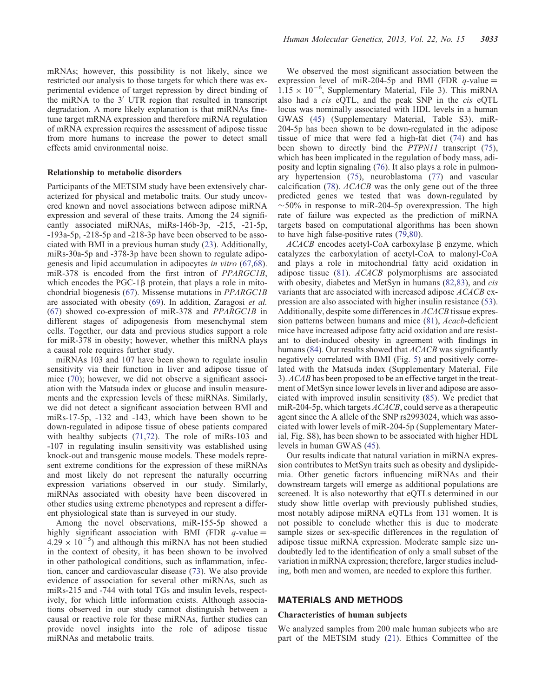mRNAs; however, this possibility is not likely, since we restricted our analysis to those targets for which there was experimental evidence of target repression by direct binding of the miRNA to the 3′ UTR region that resulted in transcript degradation. A more likely explanation is that miRNAs finetune target mRNA expression and therefore miRNA regulation of mRNA expression requires the assessment of adipose tissue from more humans to increase the power to detect small effects amid environmental noise.

#### Relationship to metabolic disorders

Participants of the METSIM study have been extensively characterized for physical and metabolic traits. Our study uncovered known and novel associations between adipose miRNA expression and several of these traits. Among the 24 significantly associated miRNAs, miRs-146b-3p, -215, -21-5p, -193a-5p, -218-5p and -218-3p have been observed to be associated with BMI in a previous human study [\(23](#page-13-0)). Additionally, miRs-30a-5p and -378-3p have been shown to regulate adipogenesis and lipid accumulation in adipocytes in vitro ([67,68](#page-14-0)). miR-378 is encoded from the first intron of PPARGC1B, which encodes the  $PGC-1\beta$  protein, that plays a role in mitochondrial biogenesis ([67\)](#page-14-0). Missense mutations in PPARGC1B are associated with obesity ([69\)](#page-14-0). In addition, Zaragosi et al. [\(67](#page-14-0)) showed co-expression of miR-378 and PPARGC1B in different stages of adipogenesis from mesenchymal stem cells. Together, our data and previous studies support a role for miR-378 in obesity; however, whether this miRNA plays a causal role requires further study.

miRNAs 103 and 107 have been shown to regulate insulin sensitivity via their function in liver and adipose tissue of mice ([70\)](#page-14-0); however, we did not observe a significant association with the Matsuda index or glucose and insulin measurements and the expression levels of these miRNAs. Similarly, we did not detect a significant association between BMI and miRs-17-5p, -132 and -143, which have been shown to be down-regulated in adipose tissue of obese patients compared with healthy subjects ([71,72](#page-14-0)). The role of miRs-103 and -107 in regulating insulin sensitivity was established using knock-out and transgenic mouse models. These models represent extreme conditions for the expression of these miRNAs and most likely do not represent the naturally occurring expression variations observed in our study. Similarly, miRNAs associated with obesity have been discovered in other studies using extreme phenotypes and represent a different physiological state than is surveyed in our study.

Among the novel observations, miR-155-5p showed a highly significant association with BMI (FDR  $q$ -value =  $4.29 \times 10^{-5}$ ) and although this miRNA has not been studied in the context of obesity, it has been shown to be involved in other pathological conditions, such as inflammation, infection, cancer and cardiovascular disease ([73\)](#page-14-0). We also provide evidence of association for several other miRNAs, such as miRs-215 and -744 with total TGs and insulin levels, respectively, for which little information exists. Although associations observed in our study cannot distinguish between a causal or reactive role for these miRNAs, further studies can provide novel insights into the role of adipose tissue miRNAs and metabolic traits.

We observed the most significant association between the expression level of miR-204-5p and BMI (FDR  $q$ -value =  $1.15 \times 10^{-6}$ , [Supplementary Material, File 3](http://hmg.oxfordjournals.org/lookup/suppl/doi:10.1093/hmg/ddt159/-/DC1)). This miRNA also had a cis eQTL, and the peak SNP in the cis eQTL locus was nominally associated with HDL levels in a human GWAS [\(45](#page-13-0)) ([Supplementary Material, Table S3\)](http://hmg.oxfordjournals.org/lookup/suppl/doi:10.1093/hmg/ddt159/-/DC1). miR-204-5p has been shown to be down-regulated in the adipose tissue of mice that were fed a high-fat diet [\(74](#page-14-0)) and has been shown to directly bind the *PTPN11* transcript [\(75](#page-14-0)), which has been implicated in the regulation of body mass, adiposity and leptin signaling ([76\)](#page-14-0). It also plays a role in pulmonary hypertension ([75\)](#page-14-0), neuroblastoma ([77\)](#page-14-0) and vascular calcification ([78\)](#page-14-0). ACACB was the only gene out of the three predicted genes we tested that was down-regulated by  $\sim$  50% in response to miR-204-5p overexpression. The high rate of failure was expected as the prediction of miRNA targets based on computational algorithms has been shown to have high false-positive rates ([79,80](#page-14-0)).

 $ACACB$  encodes acetyl-CoA carboxylase  $\beta$  enzyme, which catalyzes the carboxylation of acetyl-CoA to malonyl-CoA and plays a role in mitochondrial fatty acid oxidation in adipose tissue [\(81](#page-14-0)). ACACB polymorphisms are associated with obesity, diabetes and MetSyn in humans ([82,83](#page-14-0)), and cis variants that are associated with increased adipose ACACB expression are also associated with higher insulin resistance [\(53](#page-14-0)). Additionally, despite some differences in ACACB tissue expression patterns between humans and mice ([81\)](#page-14-0), Acacb-deficient mice have increased adipose fatty acid oxidation and are resistant to diet-induced obesity in agreement with findings in humans ([84\)](#page-14-0). Our results showed that *ACACB* was significantly negatively correlated with BMI (Fig. [5](#page-8-0)) and positively correlated with the Matsuda index ([Supplementary Material, File](http://hmg.oxfordjournals.org/lookup/suppl/doi:10.1093/hmg/ddt159/-/DC1) [3\)](http://hmg.oxfordjournals.org/lookup/suppl/doi:10.1093/hmg/ddt159/-/DC1). ACAB has been proposed to be an effective target in the treatment of MetSyn since lower levels in liver and adipose are associated with improved insulin sensitivity [\(85](#page-14-0)). We predict that miR-204-5p, which targets ACACB, could serve as a therapeutic agent since the A allele of the SNP rs2993024, which was associated with lower levels of miR-204-5p ([Supplementary Mater](http://hmg.oxfordjournals.org/lookup/suppl/doi:10.1093/hmg/ddt159/-/DC1)[ial, Fig. S8\)](http://hmg.oxfordjournals.org/lookup/suppl/doi:10.1093/hmg/ddt159/-/DC1), has been shown to be associated with higher HDL levels in human GWAS [\(45](#page-13-0)).

Our results indicate that natural variation in miRNA expression contributes to MetSyn traits such as obesity and dyslipidemia. Other genetic factors influencing miRNAs and their downstream targets will emerge as additional populations are screened. It is also noteworthy that eQTLs determined in our study show little overlap with previously published studies, most notably adipose miRNA eQTLs from 131 women. It is not possible to conclude whether this is due to moderate sample sizes or sex-specific differences in the regulation of adipose tissue miRNA expression. Moderate sample size undoubtedly led to the identification of only a small subset of the variation in miRNA expression; therefore, larger studies including, both men and women, are needed to explore this further.

# MATERIALS AND METHODS

#### Characteristics of human subjects

We analyzed samples from 200 male human subjects who are part of the METSIM study [\(21](#page-13-0)). Ethics Committee of the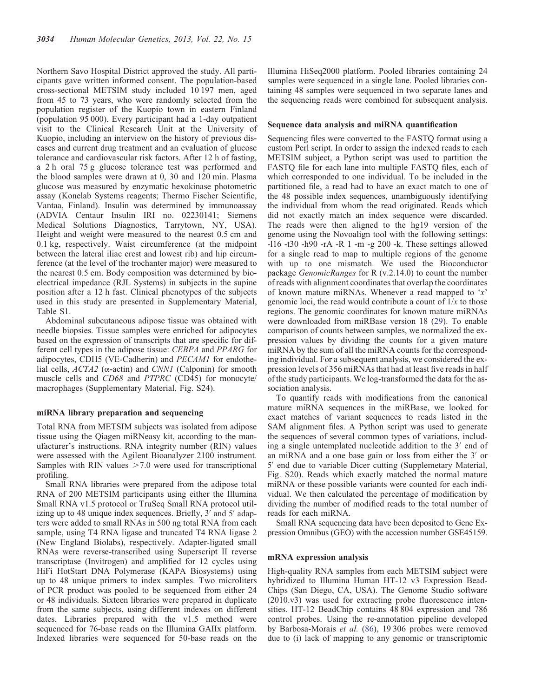Northern Savo Hospital District approved the study. All participants gave written informed consent. The population-based cross-sectional METSIM study included 10 197 men, aged from 45 to 73 years, who were randomly selected from the population register of the Kuopio town in eastern Finland (population 95 000). Every participant had a 1-day outpatient visit to the Clinical Research Unit at the University of Kuopio, including an interview on the history of previous diseases and current drug treatment and an evaluation of glucose tolerance and cardiovascular risk factors. After 12 h of fasting, a 2 h oral 75 g glucose tolerance test was performed and the blood samples were drawn at 0, 30 and 120 min. Plasma glucose was measured by enzymatic hexokinase photometric assay (Konelab Systems reagents; Thermo Fischer Scientific, Vantaa, Finland). Insulin was determined by immunoassay (ADVIA Centaur Insulin IRI no. 02230141; Siemens Medical Solutions Diagnostics, Tarrytown, NY, USA). Height and weight were measured to the nearest 0.5 cm and 0.1 kg, respectively. Waist circumference (at the midpoint between the lateral iliac crest and lowest rib) and hip circumference (at the level of the trochanter major) were measured to the nearest 0.5 cm. Body composition was determined by bioelectrical impedance (RJL Systems) in subjects in the supine position after a 12 h fast. Clinical phenotypes of the subjects used in this study are presented in [Supplementary Material,](http://hmg.oxfordjournals.org/lookup/suppl/doi:10.1093/hmg/ddt159/-/DC1) [Table S1.](http://hmg.oxfordjournals.org/lookup/suppl/doi:10.1093/hmg/ddt159/-/DC1)

Abdominal subcutaneous adipose tissue was obtained with needle biopsies. Tissue samples were enriched for adipocytes based on the expression of transcripts that are specific for different cell types in the adipose tissue: CEBPA and PPARG for adipocytes, CDH5 (VE-Cadherin) and PECAM1 for endothelial cells,  $ACTA2$  ( $\alpha$ -actin) and CNN1 (Calponin) for smooth muscle cells and CD68 and PTPRC (CD45) for monocyte/ macrophages ([Supplementary Material, Fig. S24](http://hmg.oxfordjournals.org/lookup/suppl/doi:10.1093/hmg/ddt159/-/DC1)).

## miRNA library preparation and sequencing

Total RNA from METSIM subjects was isolated from adipose tissue using the Qiagen miRNeasy kit, according to the manufacturer's instructions. RNA integrity number (RIN) values were assessed with the Agilent Bioanalyzer 2100 instrument. Samples with RIN values  $>7.0$  were used for transcriptional profiling.

Small RNA libraries were prepared from the adipose total RNA of 200 METSIM participants using either the Illumina Small RNA v1.5 protocol or TruSeq Small RNA protocol utilizing up to 48 unique index sequences. Briefly, 3′ and 5′ adapters were added to small RNAs in 500 ng total RNA from each sample, using T4 RNA ligase and truncated T4 RNA ligase 2 (New England Biolabs), respectively. Adapter-ligated small RNAs were reverse-transcribed using Superscript II reverse transcriptase (Invitrogen) and amplified for 12 cycles using HiFi HotStart DNA Polymerase (KAPA Biosystems) using up to 48 unique primers to index samples. Two microliters of PCR product was pooled to be sequenced from either 24 or 48 individuals. Sixteen libraries were prepared in duplicate from the same subjects, using different indexes on different dates. Libraries prepared with the v1.5 method were sequenced for 76-base reads on the Illumina GAIIx platform. Indexed libraries were sequenced for 50-base reads on the Illumina HiSeq2000 platform. Pooled libraries containing 24 samples were sequenced in a single lane. Pooled libraries containing 48 samples were sequenced in two separate lanes and the sequencing reads were combined for subsequent analysis.

#### Sequence data analysis and miRNA quantification

Sequencing files were converted to the FASTQ format using a custom Perl script. In order to assign the indexed reads to each METSIM subject, a Python script was used to partition the FASTO file for each lane into multiple FASTO files, each of which corresponded to one individual. To be included in the partitioned file, a read had to have an exact match to one of the 48 possible index sequences, unambiguously identifying the individual from whom the read originated. Reads which did not exactly match an index sequence were discarded. The reads were then aligned to the hg19 version of the genome using the Novoalign tool with the following settings: -l16 -t30 -h90 -rA -R 1 -m -g 200 -k. These settings allowed for a single read to map to multiple regions of the genome with up to one mismatch. We used the Bioconductor package GenomicRanges for R (v.2.14.0) to count the number of reads with alignment coordinates that overlap the coordinates of known mature miRNAs. Whenever a read mapped to 'x' genomic loci, the read would contribute a count of  $1/x$  to those regions. The genomic coordinates for known mature miRNAs were downloaded from miRBase version 18 ([29\)](#page-13-0). To enable comparison of counts between samples, we normalized the expression values by dividing the counts for a given mature miRNA by the sum of all the miRNA counts for the corresponding individual. For a subsequent analysis, we considered the expression levels of 356 miRNAs that had at least five reads in half of the study participants. We log-transformed the data for the association analysis.

To quantify reads with modifications from the canonical mature miRNA sequences in the miRBase, we looked for exact matches of variant sequences to reads listed in the SAM alignment files. A Python script was used to generate the sequences of several common types of variations, including a single untemplated nucleotide addition to the 3′ end of an miRNA and a one base gain or loss from either the 3′ or 5′ end due to variable Dicer cutting ([Supplemetary Material,](http://hmg.oxfordjournals.org/lookup/suppl/doi:10.1093/hmg/ddt159/-/DC1) [Fig. S20\)](http://hmg.oxfordjournals.org/lookup/suppl/doi:10.1093/hmg/ddt159/-/DC1). Reads which exactly matched the normal mature miRNA or these possible variants were counted for each individual. We then calculated the percentage of modification by dividing the number of modified reads to the total number of reads for each miRNA.

Small RNA sequencing data have been deposited to Gene Expression Omnibus (GEO) with the accession number GSE45159.

#### mRNA expression analysis

High-quality RNA samples from each METSIM subject were hybridized to Illumina Human HT-12 v3 Expression Bead-Chips (San Diego, CA, USA). The Genome Studio software (2010.v3) was used for extracting probe fluorescence intensities. HT-12 BeadChip contains 48 804 expression and 786 control probes. Using the re-annotation pipeline developed by Barbosa-Morais et al. ([86\)](#page-14-0), 19 306 probes were removed due to (i) lack of mapping to any genomic or transcriptomic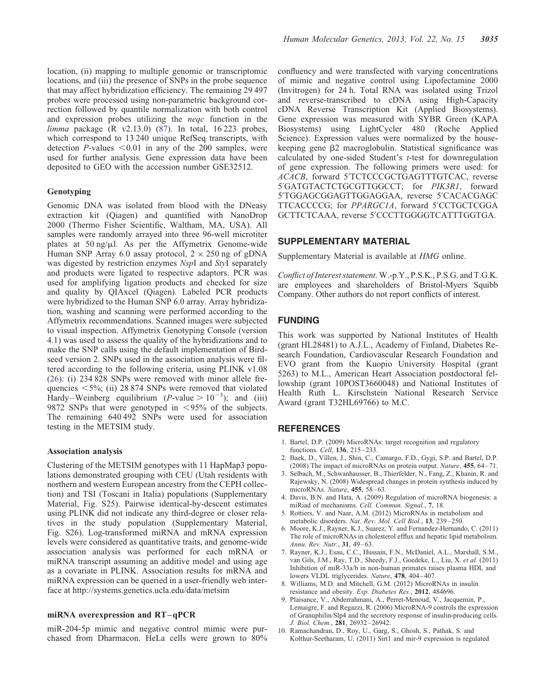<span id="page-12-0"></span>location, (ii) mapping to multiple genomic or transcriptomic locations, and (iii) the presence of SNPs in the probe sequence that may affect hybridization efficiency. The remaining 29 497 probes were processed using non-parametric background correction followed by quantile normalization with both control and expression probes utilizing the neqc function in the limma package (R v2.13.0) ([87\)](#page-14-0). In total, 16 223 probes, which correspond to 13 240 unique RefSeq transcripts, with detection  $P$ -values  $<0.01$  in any of the 200 samples, were used for further analysis. Gene expression data have been deposited to GEO with the accession number GSE32512.

#### Genotyping

Genomic DNA was isolated from blood with the DNeasy extraction kit (Qiagen) and quantified with NanoDrop 2000 (Thermo Fisher Scientific, Waltham, MA, USA). All samples were randomly arrayed into three 96-well microtiter plates at 50 ng/ $\mu$ l. As per the Affymetrix Genome-wide Human SNP Array 6.0 assay protocol,  $2 \times 250$  ng of gDNA was digested by restriction enzymes NspI and StyI separately and products were ligated to respective adaptors. PCR was used for amplifying ligation products and checked for size and quality by QIAxcel (Qiagen). Labeled PCR products were hybridized to the Human SNP 6.0 array. Array hybridization, washing and scanning were performed according to the Affymetrix recommendations. Scanned images were subjected to visual inspection. Affymetrix Genotyping Console (version 4.1) was used to assess the quality of the hybridizations and to make the SNP calls using the default implementation of Birdseed version 2. SNPs used in the association analysis were filtered according to the following criteria, using PLINK v1.08 [\(26](#page-13-0)): (i) 234 828 SNPs were removed with minor allele frequencies  $\langle 5\%;$  (ii) 28 874 SNPs were removed that violated Hardy–Weinberg equilibrium (*P*-value  $> 10^{-3}$ ); and (iii) 9872 SNPs that were genotyped in  $\langle 95\%$  of the subjects. The remaining 640 492 SNPs were used for association testing in the METSIM study.

## Association analysis

Clustering of the METSIM genotypes with 11 HapMap3 populations demonstrated grouping with CEU (Utah residents with northern and western European ancestry from the CEPH collection) and TSI (Toscani in Italia) populations [\(Supplementary](http://hmg.oxfordjournals.org/lookup/suppl/doi:10.1093/hmg/ddt159/-/DC1) [Material, Fig. S25\)](http://hmg.oxfordjournals.org/lookup/suppl/doi:10.1093/hmg/ddt159/-/DC1). Pairwise identical-by-descent estimates using PLINK did not indicate any third-degree or closer relatives in the study population ([Supplementary Material,](http://hmg.oxfordjournals.org/lookup/suppl/doi:10.1093/hmg/ddt159/-/DC1) [Fig. S26](http://hmg.oxfordjournals.org/lookup/suppl/doi:10.1093/hmg/ddt159/-/DC1)). Log-transformed miRNA and mRNA expression levels were considered as quantitative traits, and genome-wide association analysis was performed for each mRNA or miRNA transcript assuming an additive model and using age as a covariate in PLINK. Association results for mRNA and miRNA expression can be queried in a user-friendly web interface at http://systems.genetics.ucla.edu/data/metsim

## miRNA overexpression and RT –qPCR

miR-204-5p mimic and negative control mimic were purchased from Dharmacon. HeLa cells were grown to 80% confluency and were transfected with varying concentrations of mimic and negative control using Lipofectamine 2000 (Invitrogen) for 24 h. Total RNA was isolated using Trizol and reverse-transcribed to cDNA using High-Capacity cDNA Reverse Transcription Kit (Applied Biosystems). Gene expression was measured with SYBR Green (KAPA Biosystems) using LightCycler 480 (Roche Applied Science). Expression values were normalized by the housekeeping gene  $\beta$ 2 macroglobulin. Statistical significance was calculated by one-sided Student's t-test for downregulation of gene expression. The following primers were used: for ACACB, forward 5′ TCTCCCGCTGAGTTTGTCAC, reverse 5′ GATGTACTCTGCGTTGGCCT; for PIK3R1, forward 5′ TGGAGCGGAGTTGGAGGAA, reverse 5′ CACACGAGC TTCACCCCG; for PPARGC1A, forward 5′ CCTGCTCGGA GCTTCTCAAA, reverse 5′ CCCTTGGGGTCATTTGGTGA.

## SUPPLEMENTARY MATERIAL

[Supplementary Material is available at](http://hmg.oxfordjournals.org/lookup/suppl/doi:10.1093/hmg/ddt159/-/DC1) HMG online.

Conflict of Interest statement. W.-p.Y., P.S.K., P.S.G. and T.G.K. are employees and shareholders of Bristol-Myers Squibb Company. Other authors do not report conflicts of interest.

## FUNDING

This work was supported by National Institutes of Health (grant HL28481) to A.J.L., Academy of Finland, Diabetes Research Foundation, Cardiovascular Research Foundation and EVO grant from the Kuopio University Hospital (grant 5263) to M.L., American Heart Association postdoctoral fellowship (grant 10POST3660048) and National Institutes of Health Ruth L. Kirschstein National Research Service Award (grant T32HL69766) to M.C.

## **REFERENCES**

- 1. Bartel, D.P. (2009) MicroRNAs: target recognition and regulatory functions. Cell, 136, 215–233.
- 2. Baek, D., Villen, J., Shin, C., Camargo, F.D., Gygi, S.P. and Bartel, D.P. (2008) The impact of microRNAs on protein output. Nature, 455, 64-71.
- 3. Selbach, M., Schwanhausser, B., Thierfelder, N., Fang, Z., Khanin, R. and Rajewsky, N. (2008) Widespread changes in protein synthesis induced by microRNAs. Nature, 455, 58–63.
- 4. Davis, B.N. and Hata, A. (2009) Regulation of microRNA biogenesis: a miRiad of mechanisms. Cell. Commun. Signal., 7, 18.
- 5. Rottiers, V. and Naar, A.M. (2012) MicroRNAs in metabolism and metabolic disorders. Nat. Rev. Mol. Cell Biol., 13, 239–250.
- 6. Moore, K.J., Rayner, K.J., Suarez, Y. and Fernandez-Hernando, C. (2011) The role of microRNAs in cholesterol efflux and hepatic lipid metabolism. Annu. Rev. Nutr., 31, 49–63.
- 7. Rayner, K.J., Esau, C.C., Hussain, F.N., McDaniel, A.L., Marshall, S.M., van Gils, J.M., Ray, T.D., Sheedy, F.J., Goedeke, L., Liu, X. et al. (2011) Inhibition of miR-33a/b in non-human primates raises plasma HDL and lowers VLDL triglycerides. Nature, 478, 404-407.
- 8. Williams, M.D. and Mitchell, G.M. (2012) MicroRNAs in insulin resistance and obesity. Exp. Diabetes Res., 2012, 484696.
- 9. Plaisance, V., Abderrahmani, A., Perret-Menoud, V., Jacquemin, P., Lemaigre, F. and Regazzi, R. (2006) MicroRNA-9 controls the expression of Granuphilin/Slp4 and the secretory response of insulin-producing cells. J. Biol. Chem., 281, 26932–26942.
- 10. Ramachandran, D., Roy, U., Garg, S., Ghosh, S., Pathak, S. and Kolthur-Seetharam, U. (2011) Sirt1 and mir-9 expression is regulated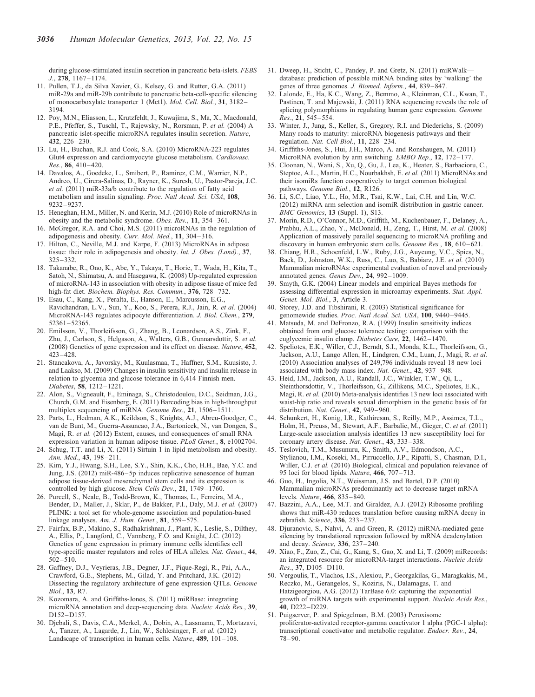<span id="page-13-0"></span>during glucose-stimulated insulin secretion in pancreatic beta-islets. FEBS J., 278, 1167–1174.

- 11. Pullen, T.J., da Silva Xavier, G., Kelsey, G. and Rutter, G.A. (2011) miR-29a and miR-29b contribute to pancreatic beta-cell-specific silencing of monocarboxylate transporter 1 (Mct1). Mol. Cell. Biol., 31, 3182– 3194.
- 12. Poy, M.N., Eliasson, L., Krutzfeldt, J., Kuwajima, S., Ma, X., Macdonald, P.E., Pfeffer, S., Tuschl, T., Rajewsky, N., Rorsman, P. et al. (2004) A pancreatic islet-specific microRNA regulates insulin secretion. Nature, 432, 226–230.
- 13. Lu, H., Buchan, R.J. and Cook, S.A. (2010) MicroRNA-223 regulates Glut4 expression and cardiomyocyte glucose metabolism. Cardiovasc. Res., 86,  $410-420$ .
- 14. Davalos, A., Goedeke, L., Smibert, P., Ramirez, C.M., Warrier, N.P., Andreo, U., Cirera-Salinas, D., Rayner, K., Suresh, U., Pastor-Pareja, J.C. et al. (2011) miR-33a/b contribute to the regulation of fatty acid metabolism and insulin signaling. Proc. Natl Acad. Sci. USA, 108, 9232–9237.
- 15. Heneghan, H.M., Miller, N. and Kerin, M.J. (2010) Role of microRNAs in obesity and the metabolic syndrome. Obes. Rev., 11, 354–361.
- 16. McGregor, R.A. and Choi, M.S. (2011) microRNAs in the regulation of adipogenesis and obesity. Curr. Mol. Med., 11, 304–316.
- 17. Hilton, C., Neville, M.J. and Karpe, F. (2013) MicroRNAs in adipose tissue: their role in adipogenesis and obesity. Int. J. Obes. (Lond)., 37, 325–332.
- 18. Takanabe, R., Ono, K., Abe, Y., Takaya, T., Horie, T., Wada, H., Kita, T., Satoh, N., Shimatsu, A. and Hasegawa, K. (2008) Up-regulated expression of microRNA-143 in association with obesity in adipose tissue of mice fed high-fat diet. Biochem. Biophys. Res. Commun., 376, 728–732.
- 19. Esau, C., Kang, X., Peralta, E., Hanson, E., Marcusson, E.G., Ravichandran, L.V., Sun, Y., Koo, S., Perera, R.J., Jain, R. et al. (2004) MicroRNA-143 regulates adipocyte differentiation. J. Biol. Chem., 279, 52361–52365.
- 20. Emilsson, V., Thorleifsson, G., Zhang, B., Leonardson, A.S., Zink, F., Zhu, J., Carlson, S., Helgason, A., Walters, G.B., Gunnarsdottir, S. et al. (2008) Genetics of gene expression and its effect on disease. Nature, 452, 423–428.
- 21. Stancakova, A., Javorsky, M., Kuulasmaa, T., Haffner, S.M., Kuusisto, J. and Laakso, M. (2009) Changes in insulin sensitivity and insulin release in relation to glycemia and glucose tolerance in 6,414 Finnish men. Diabetes, 58, 1212–1221.
- 22. Alon, S., Vigneault, F., Eminaga, S., Christodoulou, D.C., Seidman, J.G., Church, G.M. and Eisenberg, E. (2011) Barcoding bias in high-throughput multiplex sequencing of miRNA. Genome Res., 21, 1506–1511.
- 23. Parts, L., Hedman, A.K., Keildson, S., Knights, A.J., Abreu-Goodger, C., van de Bunt, M., Guerra-Assuncao, J.A., Bartonicek, N., van Dongen, S., Magi, R. et al. (2012) Extent, causes, and consequences of small RNA expression variation in human adipose tissue. PLoS Genet., 8, e1002704.
- 24. Schug, T.T. and Li, X. (2011) Sirtuin 1 in lipid metabolism and obesity. Ann. Med., 43, 198–211.
- 25. Kim, Y.J., Hwang, S.H., Lee, S.Y., Shin, K.K., Cho, H.H., Bae, Y.C. and Jung, J.S. (2012) miR-486–5p induces replicative senescence of human adipose tissue-derived mesenchymal stem cells and its expression is controlled by high glucose. Stem Cells Dev., 21, 1749–1760.
- 26. Purcell, S., Neale, B., Todd-Brown, K., Thomas, L., Ferreira, M.A., Bender, D., Maller, J., Sklar, P., de Bakker, P.I., Daly, M.J. et al. (2007) PLINK: a tool set for whole-genome association and population-based linkage analyses. Am. J. Hum. Genet., 81, 559-575.
- 27. Fairfax, B.P., Makino, S., Radhakrishnan, J., Plant, K., Leslie, S., Dilthey, A., Ellis, P., Langford, C., Vannberg, F.O. and Knight, J.C. (2012) Genetics of gene expression in primary immune cells identifies cell type-specific master regulators and roles of HLA alleles. Nat. Genet., 44, 502–510.
- 28. Gaffney, D.J., Veyrieras, J.B., Degner, J.F., Pique-Regi, R., Pai, A.A., Crawford, G.E., Stephens, M., Gilad, Y. and Pritchard, J.K. (2012) Dissecting the regulatory architecture of gene expression QTLs. Genome Biol., 13, R7.
- 29. Kozomara, A. and Griffiths-Jones, S. (2011) miRBase: integrating microRNA annotation and deep-sequencing data. Nucleic Acids Res., 39, D152–D157.
- 30. Djebali, S., Davis, C.A., Merkel, A., Dobin, A., Lassmann, T., Mortazavi, A., Tanzer, A., Lagarde, J., Lin, W., Schlesinger, F. et al. (2012) Landscape of transcription in human cells. Nature, 489, 101–108.
- 31. Dweep, H., Sticht, C., Pandey, P. and Gretz, N. (2011) miRWalk database: prediction of possible miRNA binding sites by 'walking' the genes of three genomes. J. Biomed. Inform., 44, 839–847.
- 32. Lalonde, E., Ha, K.C., Wang, Z., Bemmo, A., Kleinman, C.L., Kwan, T., Pastinen, T. and Majewski, J. (2011) RNA sequencing reveals the role of splicing polymorphisms in regulating human gene expression. Genome Res., 21, 545–554.
- 33. Winter, J., Jung, S., Keller, S., Gregory, R.I. and Diederichs, S. (2009) Many roads to maturity: microRNA biogenesis pathways and their regulation. Nat. Cell Biol., 11, 228–234.
- 34. Griffiths-Jones, S., Hui, J.H., Marco, A. and Ronshaugen, M. (2011) MicroRNA evolution by arm switching. EMBO Rep., 12, 172–177.
- 35. Cloonan, N., Wani, S., Xu, Q., Gu, J., Lea, K., Heater, S., Barbacioru, C., Steptoe, A.L., Martin, H.C., Nourbakhsh, E. et al. (2011) MicroRNAs and their isomiRs function cooperatively to target common biological pathways. Genome Biol., 12, R126.
- 36. Li, S.C., Liao, Y.L., Ho, M.R., Tsai, K.W., Lai, C.H. and Lin, W.C. (2012) miRNA arm selection and isomiR distribution in gastric cancer. BMC Genomics, 13 (Suppl. 1), S13.
- 37. Morin, R.D., O'Connor, M.D., Griffith, M., Kuchenbauer, F., Delaney, A., Prabhu, A.L., Zhao, Y., McDonald, H., Zeng, T., Hirst, M. et al. (2008) Application of massively parallel sequencing to microRNA profiling and discovery in human embryonic stem cells. Genome Res., 18, 610–621.
- 38. Chiang, H.R., Schoenfeld, L.W., Ruby, J.G., Auyeung, V.C., Spies, N., Baek, D., Johnston, W.K., Russ, C., Luo, S., Babiarz, J.E. et al. (2010) Mammalian microRNAs: experimental evaluation of novel and previously annotated genes. Genes Dev., 24, 992–1009.
- 39. Smyth, G.K. (2004) Linear models and empirical Bayes methods for assessing differential expression in microarray experiments. Stat. Appl. Genet. Mol. Biol., 3, Article 3.
- 40. Storey, J.D. and Tibshirani, R. (2003) Statistical significance for genomewide studies. Proc. Natl Acad. Sci. USA, 100, 9440-9445.
- 41. Matsuda, M. and DeFronzo, R.A. (1999) Insulin sensitivity indices obtained from oral glucose tolerance testing: comparison with the euglycemic insulin clamp. Diabetes Care, 22, 1462–1470.
- 42. Speliotes, E.K., Willer, C.J., Berndt, S.I., Monda, K.L., Thorleifsson, G., Jackson, A.U., Lango Allen, H., Lindgren, C.M., Luan, J., Magi, R. et al. (2010) Association analyses of 249,796 individuals reveal 18 new loci associated with body mass index. Nat. Genet., 42, 937–948.
- 43. Heid, I.M., Jackson, A.U., Randall, J.C., Winkler, T.W., Qi, L., Steinthorsdottir, V., Thorleifsson, G., Zillikens, M.C., Speliotes, E.K., Magi, R. et al. (2010) Meta-analysis identifies 13 new loci associated with waist-hip ratio and reveals sexual dimorphism in the genetic basis of fat distribution. Nat. Genet., 42, 949-960.
- 44. Schunkert, H., Konig, I.R., Kathiresan, S., Reilly, M.P., Assimes, T.L., Holm, H., Preuss, M., Stewart, A.F., Barbalic, M., Gieger, C. et al. (2011) Large-scale association analysis identifies 13 new susceptibility loci for coronary artery disease. Nat. Genet., 43, 333-338.
- 45. Teslovich, T.M., Musunuru, K., Smith, A.V., Edmondson, A.C., Stylianou, I.M., Koseki, M., Pirruccello, J.P., Ripatti, S., Chasman, D.I., Willer, C.J. et al. (2010) Biological, clinical and population relevance of 95 loci for blood lipids. Nature, 466, 707–713.
- 46. Guo, H., Ingolia, N.T., Weissman, J.S. and Bartel, D.P. (2010) Mammalian microRNAs predominantly act to decrease target mRNA levels. Nature, 466, 835–840.
- 47. Bazzini, A.A., Lee, M.T. and Giraldez, A.J. (2012) Ribosome profiling shows that miR-430 reduces translation before causing mRNA decay in zebrafish. Science, 336, 233–237.
- 48. Djuranovic, S., Nahvi, A. and Green, R. (2012) miRNA-mediated gene silencing by translational repression followed by mRNA deadenylation and decay. Science, 336, 237–240.
- 49. Xiao, F., Zuo, Z., Cai, G., Kang, S., Gao, X. and Li, T. (2009) miRecords: an integrated resource for microRNA-target interactions. Nucleic Acids Res., 37, D105–D110.
- 50. Vergoulis, T., Vlachos, I.S., Alexiou, P., Georgakilas, G., Maragkakis, M., Reczko, M., Gerangelos, S., Koziris, N., Dalamagas, T. and Hatzigeorgiou, A.G. (2012) TarBase 6.0: capturing the exponential growth of miRNA targets with experimental support. Nucleic Acids Res., 40, D222–D229.
- 51. Puigserver, P. and Spiegelman, B.M. (2003) Peroxisome proliferator-activated receptor-gamma coactivator 1 alpha (PGC-1 alpha): transcriptional coactivator and metabolic regulator. Endocr. Rev., 24, 78–90.